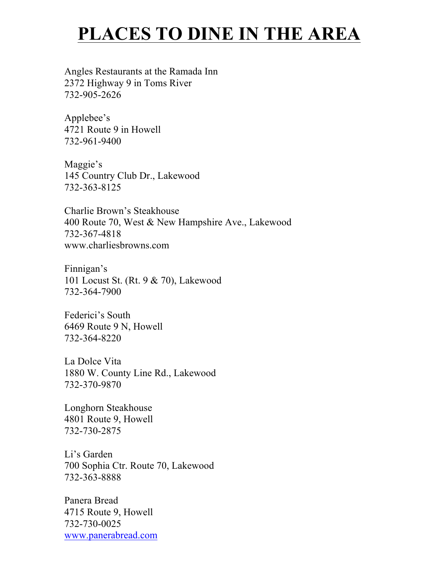## **PLACES TO DINE IN THE AREA**

Angles Restaurants at the Ramada Inn 2372 Highway 9 in Toms River 732-905-2626

Applebee's 4721 Route 9 in Howell 732-961-9400

Maggie's 145 Country Club Dr., Lakewood 732-363-8125

Charlie Brown's Steakhouse 400 Route 70, West & New Hampshire Ave., Lakewood 732-367-4818 www.charliesbrowns.com

Finnigan's 101 Locust St. (Rt. 9 & 70), Lakewood 732-364-7900

Federici's South 6469 Route 9 N, Howell 732-364-8220

La Dolce Vita 1880 W. County Line Rd., Lakewood 732-370-9870

Longhorn Steakhouse 4801 Route 9, Howell 732-730-2875

Li's Garden 700 Sophia Ctr. Route 70, Lakewood 732-363-8888

Panera Bread 4715 Route 9, Howell 732-730-0025 www.panerabread.com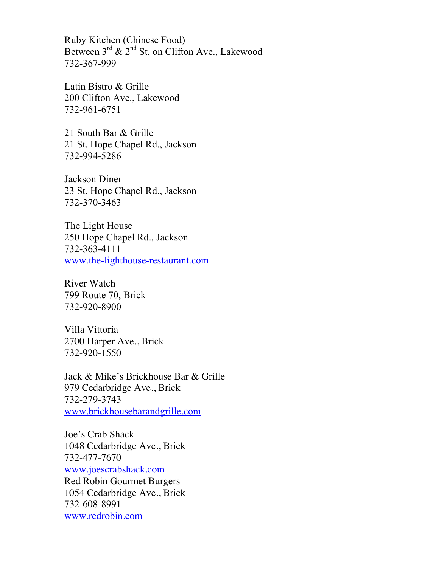Ruby Kitchen (Chinese Food) Between  $3^{rd}$  &  $2^{nd}$  St. on Clifton Ave., Lakewood 732-367-999

Latin Bistro & Grille 200 Clifton Ave., Lakewood 732-961-6751

21 South Bar & Grille 21 St. Hope Chapel Rd., Jackson 732-994-5286

Jackson Diner 23 St. Hope Chapel Rd., Jackson 732-370-3463

The Light House 250 Hope Chapel Rd., Jackson 732-363-4111 www.the-lighthouse-restaurant.com

River Watch 799 Route 70, Brick 732-920-8900

Villa Vittoria 2700 Harper Ave., Brick 732-920-1550

Jack & Mike's Brickhouse Bar & Grille 979 Cedarbridge Ave., Brick 732-279-3743 www.brickhousebarandgrille.com

Joe's Crab Shack 1048 Cedarbridge Ave., Brick 732-477-7670 www.joescrabshack.com Red Robin Gourmet Burgers 1054 Cedarbridge Ave., Brick 732-608-8991 www.redrobin.com